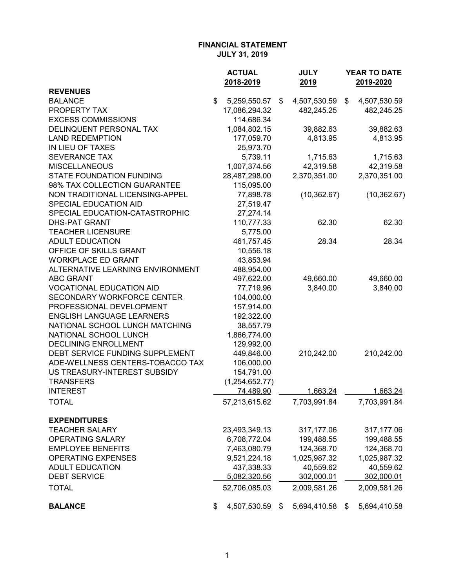|                                   | <b>ACTUAL</b>      | <b>JULY</b>        | YEAR TO DATE       |
|-----------------------------------|--------------------|--------------------|--------------------|
|                                   | 2018-2019          | 2019               | 2019-2020          |
| <b>REVENUES</b>                   |                    |                    |                    |
| <b>BALANCE</b>                    | \$<br>5,259,550.57 | \$<br>4,507,530.59 | \$<br>4,507,530.59 |
| PROPERTY TAX                      | 17,086,294.32      | 482,245.25         | 482,245.25         |
| <b>EXCESS COMMISSIONS</b>         | 114,686.34         |                    |                    |
| DELINQUENT PERSONAL TAX           | 1,084,802.15       | 39,882.63          | 39,882.63          |
| <b>LAND REDEMPTION</b>            | 177,059.70         | 4,813.95           | 4,813.95           |
| IN LIEU OF TAXES                  | 25,973.70          |                    |                    |
| <b>SEVERANCE TAX</b>              | 5,739.11           | 1,715.63           | 1,715.63           |
| <b>MISCELLANEOUS</b>              | 1,007,374.56       | 42,319.58          | 42,319.58          |
| <b>STATE FOUNDATION FUNDING</b>   | 28,487,298.00      | 2,370,351.00       | 2,370,351.00       |
| 98% TAX COLLECTION GUARANTEE      | 115,095.00         |                    |                    |
| NON TRADITIONAL LICENSING-APPEL   | 77,898.78          | (10, 362.67)       | (10, 362.67)       |
| SPECIAL EDUCATION AID             | 27,519.47          |                    |                    |
| SPECIAL EDUCATION-CATASTROPHIC    | 27,274.14          |                    |                    |
| <b>DHS-PAT GRANT</b>              | 110,777.33         | 62.30              | 62.30              |
| <b>TEACHER LICENSURE</b>          | 5,775.00           |                    |                    |
| <b>ADULT EDUCATION</b>            | 461,757.45         | 28.34              | 28.34              |
| OFFICE OF SKILLS GRANT            | 10,556.18          |                    |                    |
| <b>WORKPLACE ED GRANT</b>         | 43,853.94          |                    |                    |
| ALTERNATIVE LEARNING ENVIRONMENT  | 488,954.00         |                    |                    |
| <b>ABC GRANT</b>                  | 497,622.00         | 49,660.00          | 49,660.00          |
| <b>VOCATIONAL EDUCATION AID</b>   | 77,719.96          | 3,840.00           | 3,840.00           |
| <b>SECONDARY WORKFORCE CENTER</b> | 104,000.00         |                    |                    |
| PROFESSIONAL DEVELOPMENT          | 157,914.00         |                    |                    |
| <b>ENGLISH LANGUAGE LEARNERS</b>  | 192,322.00         |                    |                    |
| NATIONAL SCHOOL LUNCH MATCHING    | 38,557.79          |                    |                    |
| NATIONAL SCHOOL LUNCH             | 1,866,774.00       |                    |                    |
| <b>DECLINING ENROLLMENT</b>       | 129,992.00         |                    |                    |
| DEBT SERVICE FUNDING SUPPLEMENT   | 449,846.00         | 210,242.00         | 210,242.00         |
| ADE-WELLNESS CENTERS-TOBACCO TAX  | 106,000.00         |                    |                    |
| US TREASURY-INTEREST SUBSIDY      | 154,791.00         |                    |                    |
| <b>TRANSFERS</b>                  | (1, 254, 652.77)   |                    |                    |
| <b>INTEREST</b>                   | 74,489.90          | 1,663.24           | 1,663.24           |
| <b>TOTAL</b>                      | 57,213,615.62      | 7,703,991.84       | 7,703,991.84       |
| <b>EXPENDITURES</b>               |                    |                    |                    |
| <b>TEACHER SALARY</b>             | 23,493,349.13      | 317,177.06         | 317,177.06         |
| <b>OPERATING SALARY</b>           | 6,708,772.04       | 199,488.55         | 199,488.55         |
| <b>EMPLOYEE BENEFITS</b>          | 7,463,080.79       | 124,368.70         | 124,368.70         |
| <b>OPERATING EXPENSES</b>         | 9,521,224.18       | 1,025,987.32       | 1,025,987.32       |
| <b>ADULT EDUCATION</b>            | 437,338.33         | 40,559.62          | 40,559.62          |
| <b>DEBT SERVICE</b>               | 5,082,320.56       | 302,000.01         | 302,000.01         |
| <b>TOTAL</b>                      | 52,706,085.03      | 2,009,581.26       | 2,009,581.26       |
| <b>BALANCE</b>                    | \$<br>4,507,530.59 | \$<br>5,694,410.58 | \$<br>5,694,410.58 |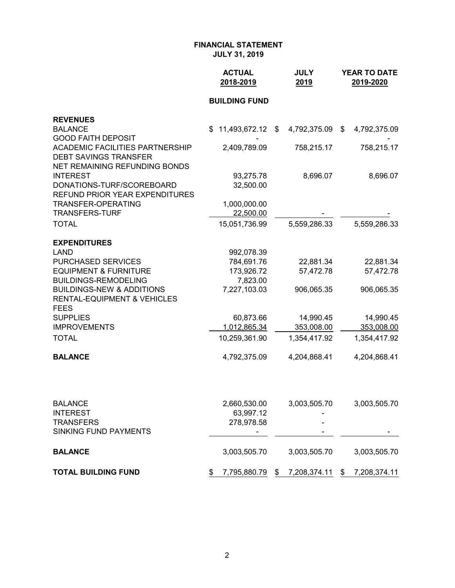|                                                                     | <b>ACTUAL</b><br>2018-2019 | <b>JULY</b><br>2019 | <b>YEAR TO DATE</b><br>2019-2020 |
|---------------------------------------------------------------------|----------------------------|---------------------|----------------------------------|
|                                                                     | <b>BUILDING FUND</b>       |                     |                                  |
| <b>REVENUES</b>                                                     |                            |                     |                                  |
| <b>BALANCE</b>                                                      | 11,493,672.12<br>\$        | 4,792,375.09<br>\$  | 4,792,375.09<br>\$               |
| <b>GOOD FAITH DEPOSIT</b><br><b>ACADEMIC FACILITIES PARTNERSHIP</b> | 2,409,789.09               | 758,215.17          | 758,215.17                       |
| <b>DEBT SAVINGS TRANSFER</b>                                        |                            |                     |                                  |
| NET REMAINING REFUNDING BONDS                                       |                            |                     |                                  |
| <b>INTEREST</b>                                                     | 93,275.78                  | 8,696.07            | 8,696.07                         |
| DONATIONS-TURF/SCOREBOARD<br><b>REFUND PRIOR YEAR EXPENDITURES</b>  | 32,500.00                  |                     |                                  |
| TRANSFER-OPERATING                                                  | 1,000,000.00               |                     |                                  |
| <b>TRANSFERS-TURF</b>                                               | 22,500.00                  |                     |                                  |
| <b>TOTAL</b>                                                        | 15,051,736.99              | 5,559,286.33        | 5,559,286.33                     |
| <b>EXPENDITURES</b>                                                 |                            |                     |                                  |
| <b>LAND</b>                                                         | 992,078.39                 |                     |                                  |
| PURCHASED SERVICES                                                  | 784,691.76                 | 22,881.34           | 22,881.34                        |
| <b>EQUIPMENT &amp; FURNITURE</b>                                    | 173,926.72                 | 57,472.78           | 57,472.78                        |
| <b>BUILDINGS-REMODELING</b><br><b>BUILDINGS-NEW &amp; ADDITIONS</b> | 7,823.00<br>7,227,103.03   | 906,065.35          | 906,065.35                       |
| <b>RENTAL-EQUIPMENT &amp; VEHICLES</b>                              |                            |                     |                                  |
| <b>FEES</b>                                                         |                            |                     |                                  |
| <b>SUPPLIES</b>                                                     | 60,873.66                  | 14,990.45           | 14,990.45                        |
| <b>IMPROVEMENTS</b>                                                 | 1,012,865.34               | 353,008.00          | 353,008.00                       |
| <b>TOTAL</b>                                                        | 10,259,361.90              | 1,354,417.92        | 1,354,417.92                     |
| <b>BALANCE</b>                                                      | 4,792,375.09               | 4,204,868.41        | 4,204,868.41                     |
|                                                                     |                            |                     |                                  |
| <b>BALANCE</b>                                                      | 2,660,530.00               | 3,003,505.70        | 3,003,505.70                     |
| <b>INTEREST</b><br><b>TRANSFERS</b>                                 | 63,997.12<br>278,978.58    |                     |                                  |
| <b>SINKING FUND PAYMENTS</b>                                        |                            |                     |                                  |
| <b>BALANCE</b>                                                      | 3,003,505.70               | 3,003,505.70        | 3,003,505.70                     |
| <b>TOTAL BUILDING FUND</b>                                          | 7,795,880.79<br>\$         | 7,208,374.11<br>\$  | 7,208,374.11<br>\$               |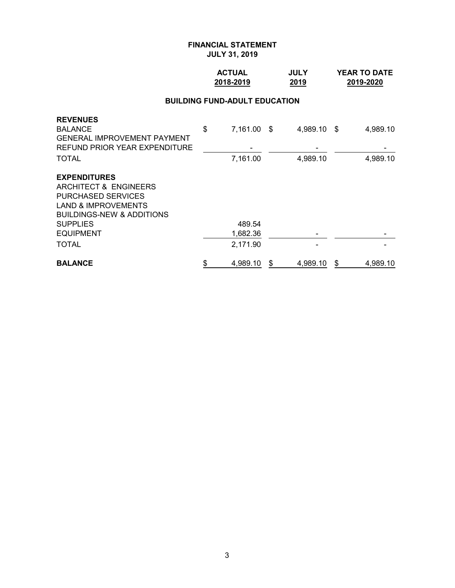## **ACTUAL JULY YEAR TO DATE 2018-2019 2019 2019-2020**

## **BUILDING FUND-ADULT EDUCATION**

| <b>SUPPLIES</b><br><b>EQUIPMENT</b>                                    | 489.54<br>1,682.36 |             |          |
|------------------------------------------------------------------------|--------------------|-------------|----------|
| <b>LAND &amp; IMPROVEMENTS</b><br><b>BUILDINGS-NEW &amp; ADDITIONS</b> |                    |             |          |
| <b>PURCHASED SERVICES</b>                                              |                    |             |          |
| <b>EXPENDITURES</b><br>ARCHITECT & ENGINEERS                           |                    |             |          |
| <b>TOTAL</b>                                                           | 7,161.00           | 4,989.10    | 4,989.10 |
| <b>GENERAL IMPROVEMENT PAYMENT</b><br>REFUND PRIOR YEAR EXPENDITURE    |                    |             |          |
| <b>REVENUES</b><br><b>BALANCE</b>                                      | \$<br>7,161.00 \$  | 4,989.10 \$ | 4,989.10 |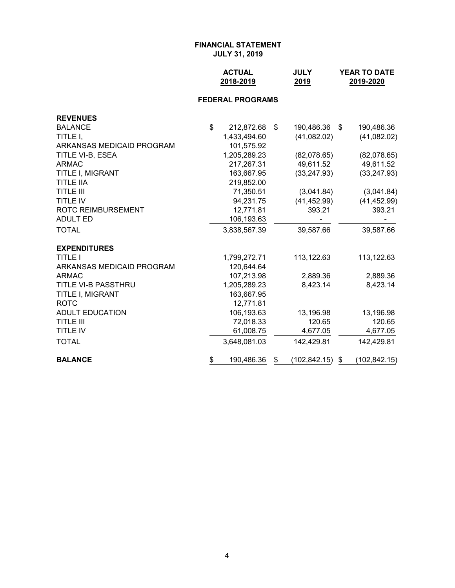| <b>ACTUAL</b> | <b>JULY</b> | <b>YEAR TO DATE</b> |
|---------------|-------------|---------------------|
| 2018-2019     | 2019        | 2019-2020           |

## **FEDERAL PROGRAMS**

| <b>REVENUES</b>           |                  |                     |                     |
|---------------------------|------------------|---------------------|---------------------|
| <b>BALANCE</b>            | \$<br>212,872.68 | \$<br>190,486.36 \$ | 190,486.36          |
| TITLE I,                  | 1,433,494.60     | (41,082.02)         | (41,082.02)         |
| ARKANSAS MEDICAID PROGRAM | 101,575.92       |                     |                     |
| TITLE VI-B, ESEA          | 1,205,289.23     | (82,078.65)         | (82,078.65)         |
| <b>ARMAC</b>              | 217,267.31       | 49,611.52           | 49,611.52           |
| TITLE I, MIGRANT          | 163,667.95       | (33, 247.93)        | (33, 247.93)        |
| <b>TITLE IIA</b>          | 219,852.00       |                     |                     |
| <b>TITLE III</b>          | 71,350.51        | (3,041.84)          | (3,041.84)          |
| <b>TITLE IV</b>           | 94,231.75        | (41, 452.99)        | (41, 452.99)        |
| <b>ROTC REIMBURSEMENT</b> | 12,771.81        | 393.21              | 393.21              |
| <b>ADULT ED</b>           | 106,193.63       |                     |                     |
| <b>TOTAL</b>              | 3,838,567.39     | 39,587.66           | 39,587.66           |
| <b>EXPENDITURES</b>       |                  |                     |                     |
| <b>TITLE I</b>            | 1,799,272.71     | 113,122.63          | 113,122.63          |
| ARKANSAS MEDICAID PROGRAM | 120,644.64       |                     |                     |
| <b>ARMAC</b>              | 107,213.98       | 2,889.36            | 2,889.36            |
| TITLE VI-B PASSTHRU       | 1,205,289.23     | 8,423.14            | 8,423.14            |
| TITLE I, MIGRANT          | 163,667.95       |                     |                     |
| <b>ROTC</b>               | 12,771.81        |                     |                     |
| <b>ADULT EDUCATION</b>    | 106,193.63       | 13,196.98           | 13,196.98           |
| <b>TITLE III</b>          | 72,018.33        | 120.65              | 120.65              |
| <b>TITLE IV</b>           | 61,008.75        | 4,677.05            | 4,677.05            |
| <b>TOTAL</b>              | 3,648,081.03     | 142,429.81          | 142,429.81          |
| <b>BALANCE</b>            | \$<br>190,486.36 | \$<br>(102,842.15)  | \$<br>(102, 842.15) |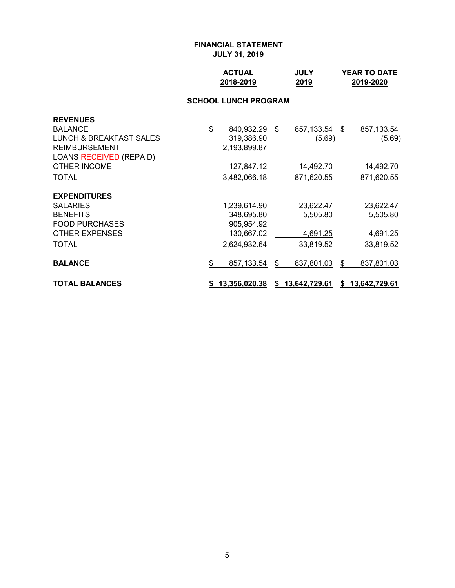| <b>ACTUAL</b> | <b>JULY</b> | <b>YEAR TO DATE</b> |
|---------------|-------------|---------------------|
| 2018-2019     | 2019        | 2019-2020           |

## **SCHOOL LUNCH PROGRAM**

| <b>REVENUES</b>                |                        |                  |                  |
|--------------------------------|------------------------|------------------|------------------|
| <b>BALANCE</b>                 | \$<br>840,932.29 \$    | 857,133.54 \$    | 857,133.54       |
| LUNCH & BREAKFAST SALES        | 319,386.90             | (5.69)           | (5.69)           |
| <b>REIMBURSEMENT</b>           | 2,193,899.87           |                  |                  |
| <b>LOANS RECEIVED (REPAID)</b> |                        |                  |                  |
| <b>OTHER INCOME</b>            | 127,847.12             | 14,492.70        | 14,492.70        |
| <b>TOTAL</b>                   | 3,482,066.18           | 871,620.55       | 871,620.55       |
| <b>EXPENDITURES</b>            |                        |                  |                  |
| <b>SALARIES</b>                | 1,239,614.90           | 23,622.47        | 23,622.47        |
| <b>BENEFITS</b>                | 348,695.80             | 5,505.80         | 5,505.80         |
| <b>FOOD PURCHASES</b>          | 905,954.92             |                  |                  |
| <b>OTHER EXPENSES</b>          | 130,667.02             | 4,691.25         | 4,691.25         |
| <b>TOTAL</b>                   | 2,624,932.64           | 33,819.52        | 33,819.52        |
| <b>BALANCE</b>                 | \$<br>857,133.54       | \$<br>837,801.03 | \$<br>837,801.03 |
| <b>TOTAL BALANCES</b>          | <u>\$13,356,020.38</u> | \$13,642,729.61  | \$13,642,729.61  |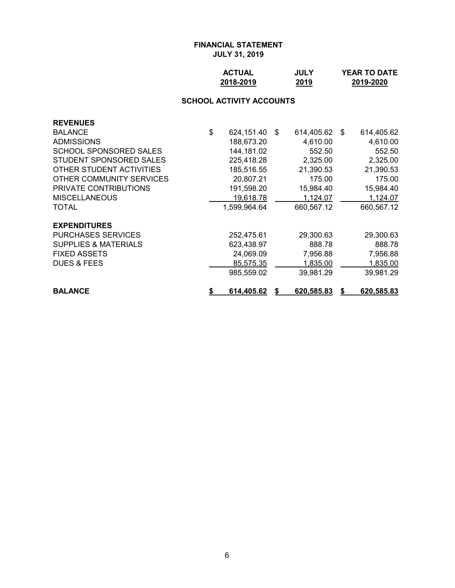| <b>ACTUAL</b> | <b>JULY</b> | <b>YEAR TO DATE</b> |
|---------------|-------------|---------------------|
| 2018-2019     | 2019        | 2019-2020           |

# **SCHOOL ACTIVITY ACCOUNTS**

| <b>REVENUES</b>                 |                  |    |                   |                   |
|---------------------------------|------------------|----|-------------------|-------------------|
| <b>BALANCE</b>                  | \$<br>624,151.40 | \$ | 614,405.62        | \$<br>614,405.62  |
| <b>ADMISSIONS</b>               | 188,673.20       |    | 4,610.00          | 4,610.00          |
| <b>SCHOOL SPONSORED SALES</b>   | 144,181.02       |    | 552.50            | 552.50            |
| STUDENT SPONSORED SALES         | 225,418.28       |    | 2,325.00          | 2,325.00          |
| OTHER STUDENT ACTIVITIES        | 185,516.55       |    | 21,390.53         | 21,390.53         |
| OTHER COMMUNITY SERVICES        | 20,807.21        |    | 175.00            | 175.00            |
| <b>PRIVATE CONTRIBUTIONS</b>    | 191,598.20       |    | 15,984.40         | 15,984.40         |
| <b>MISCELLANEOUS</b>            | 19,618.78        |    | 1,124.07          | 1,124.07          |
| <b>TOTAL</b>                    | 1,599,964.64     |    | 660,567.12        | 660,567.12        |
| <b>EXPENDITURES</b>             |                  |    |                   |                   |
| <b>PURCHASES SERVICES</b>       | 252,475.61       |    | 29,300.63         | 29,300.63         |
| <b>SUPPLIES &amp; MATERIALS</b> | 623,438.97       |    | 888.78            | 888.78            |
| <b>FIXED ASSETS</b>             | 24,069.09        |    | 7,956.88          | 7,956.88          |
| <b>DUES &amp; FEES</b>          | 85.575.35        |    | 1,835.00          | 1,835.00          |
|                                 | 985.559.02       |    | 39,981.29         | 39,981.29         |
| <b>BALANCE</b>                  | 614,405.62       | S  | <u>620,585.83</u> | <u>620,585.83</u> |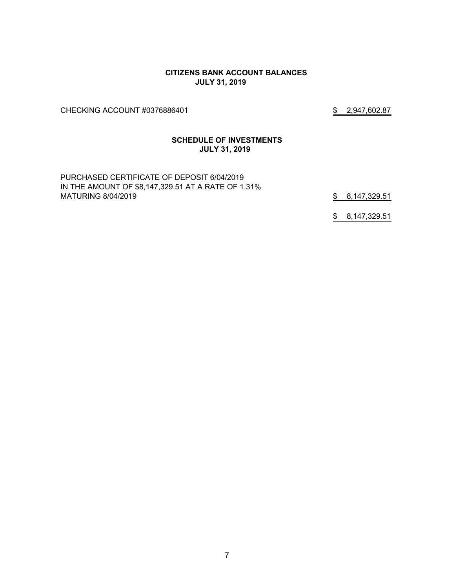#### **CITIZENS BANK ACCOUNT BALANCES JULY 31, 2019**

CHECKING ACCOUNT #0376886401 \$2,947,602.87

#### **SCHEDULE OF INVESTMENTS JULY 31, 2019**

PURCHASED CERTIFICATE OF DEPOSIT 6/04/2019 IN THE AMOUNT OF \$8,147,329.51 AT A RATE OF 1.31% MATURING 8/04/2019 **\$** 8,147,329.51

\$ 8,147,329.51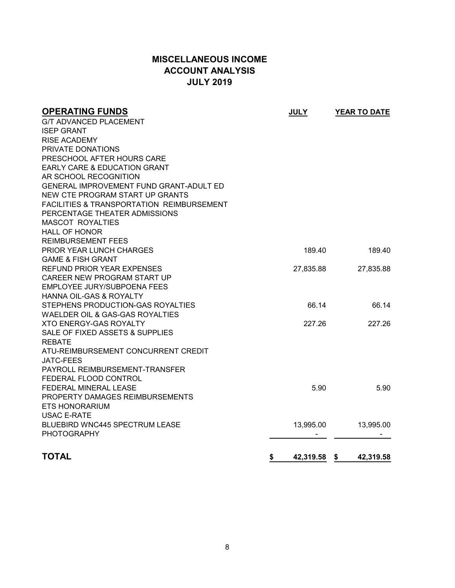# **MISCELLANEOUS INCOME ACCOUNT ANALYSIS JULY 2019**

| <b>OPERATING FUNDS</b>                               | <b>JULY</b>     | YEAR TO DATE      |
|------------------------------------------------------|-----------------|-------------------|
| <b>G/T ADVANCED PLACEMENT</b>                        |                 |                   |
| <b>ISEP GRANT</b>                                    |                 |                   |
| <b>RISE ACADEMY</b>                                  |                 |                   |
| PRIVATE DONATIONS                                    |                 |                   |
| PRESCHOOL AFTER HOURS CARE                           |                 |                   |
| EARLY CARE & EDUCATION GRANT                         |                 |                   |
| AR SCHOOL RECOGNITION                                |                 |                   |
| GENERAL IMPROVEMENT FUND GRANT-ADULT ED              |                 |                   |
| NEW CTE PROGRAM START UP GRANTS                      |                 |                   |
| <b>FACILITIES &amp; TRANSPORTATION REIMBURSEMENT</b> |                 |                   |
| PERCENTAGE THEATER ADMISSIONS                        |                 |                   |
| <b>MASCOT ROYALTIES</b>                              |                 |                   |
| <b>HALL OF HONOR</b>                                 |                 |                   |
| <b>REIMBURSEMENT FEES</b>                            |                 |                   |
| PRIOR YEAR LUNCH CHARGES                             | 189.40          | 189.40            |
| <b>GAME &amp; FISH GRANT</b>                         |                 |                   |
| REFUND PRIOR YEAR EXPENSES                           | 27,835.88       | 27,835.88         |
| CAREER NEW PROGRAM START UP                          |                 |                   |
| EMPLOYEE JURY/SUBPOENA FEES                          |                 |                   |
| <b>HANNA OIL-GAS &amp; ROYALTY</b>                   |                 |                   |
| STEPHENS PRODUCTION-GAS ROYALTIES                    | 66.14           | 66.14             |
| WAELDER OIL & GAS-GAS ROYALTIES                      |                 |                   |
| <b>XTO ENERGY-GAS ROYALTY</b>                        | 227.26          | 227.26            |
| SALE OF FIXED ASSETS & SUPPLIES                      |                 |                   |
| <b>REBATE</b>                                        |                 |                   |
| ATU-REIMBURSEMENT CONCURRENT CREDIT                  |                 |                   |
| <b>JATC-FEES</b>                                     |                 |                   |
| PAYROLL REIMBURSEMENT-TRANSFER                       |                 |                   |
| FEDERAL FLOOD CONTROL                                |                 |                   |
| FEDERAL MINERAL LEASE                                | 5.90            | 5.90              |
| PROPERTY DAMAGES REIMBURSEMENTS                      |                 |                   |
| <b>ETS HONORARIUM</b>                                |                 |                   |
| <b>USAC E-RATE</b>                                   |                 |                   |
| <b>BLUEBIRD WNC445 SPECTRUM LEASE</b>                | 13,995.00       | 13,995.00         |
| <b>PHOTOGRAPHY</b>                                   |                 |                   |
| <b>TOTAL</b>                                         | \$<br>42,319.58 | - \$<br>42,319.58 |
|                                                      |                 |                   |